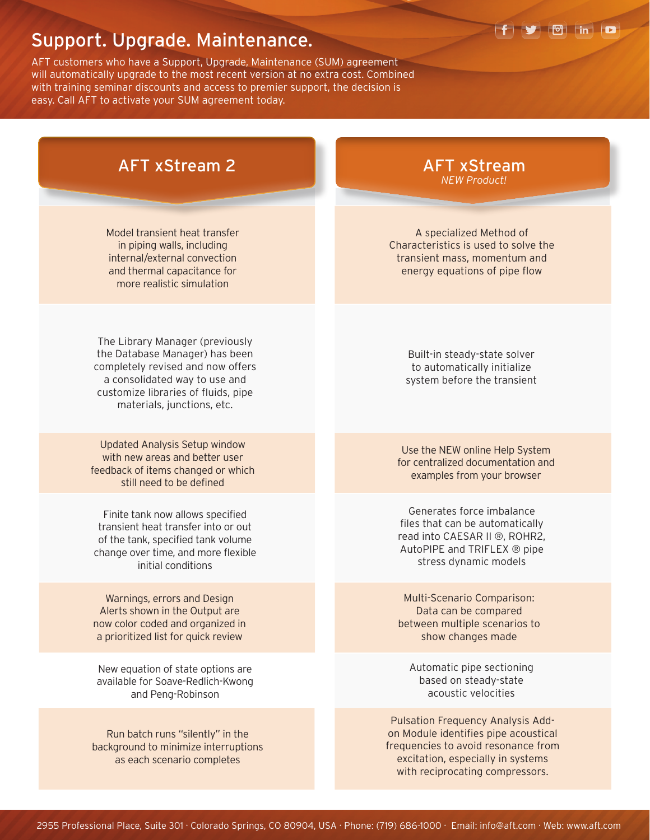

## Support. Upgrade. Maintenance.

AFT customers who have a Support, Upgrade, Maintenance (SUM) agreement will automatically upgrade to the most recent version at no extra cost. Combined with training seminar discounts and access to premier support, the decision is easy. Call AFT to activate your SUM agreement today.